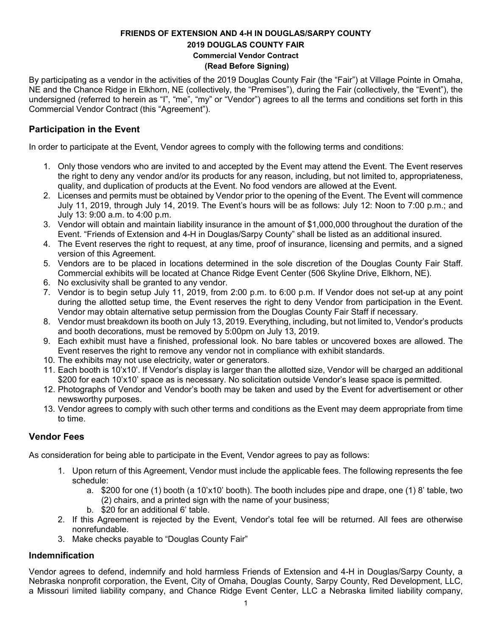## **FRIENDS OF EXTENSION AND 4-H IN DOUGLAS/SARPY COUNTY 2019 DOUGLAS COUNTY FAIR Commercial Vendor Contract (Read Before Signing)**

By participating as a vendor in the activities of the 2019 Douglas County Fair (the "Fair") at Village Pointe in Omaha, NE and the Chance Ridge in Elkhorn, NE (collectively, the "Premises"), during the Fair (collectively, the "Event"), the undersigned (referred to herein as "I", "me", "my" or "Vendor") agrees to all the terms and conditions set forth in this Commercial Vendor Contract (this "Agreement").

# **Participation in the Event**

In order to participate at the Event, Vendor agrees to comply with the following terms and conditions:

- 1. Only those vendors who are invited to and accepted by the Event may attend the Event. The Event reserves the right to deny any vendor and/or its products for any reason, including, but not limited to, appropriateness, quality, and duplication of products at the Event. No food vendors are allowed at the Event.
- 2. Licenses and permits must be obtained by Vendor prior to the opening of the Event. The Event will commence July 11, 2019, through July 14, 2019. The Event's hours will be as follows: July 12: Noon to 7:00 p.m.; and July 13: 9:00 a.m. to 4:00 p.m.
- 3. Vendor will obtain and maintain liability insurance in the amount of \$1,000,000 throughout the duration of the Event. "Friends of Extension and 4-H in Douglas/Sarpy County" shall be listed as an additional insured.
- 4. The Event reserves the right to request, at any time, proof of insurance, licensing and permits, and a signed version of this Agreement.
- 5. Vendors are to be placed in locations determined in the sole discretion of the Douglas County Fair Staff. Commercial exhibits will be located at Chance Ridge Event Center (506 Skyline Drive, Elkhorn, NE).
- 6. No exclusivity shall be granted to any vendor.
- 7. Vendor is to begin setup July 11, 2019, from 2:00 p.m. to 6:00 p.m. If Vendor does not set-up at any point during the allotted setup time, the Event reserves the right to deny Vendor from participation in the Event. Vendor may obtain alternative setup permission from the Douglas County Fair Staff if necessary.
- 8. Vendor must breakdown its booth on July 13, 2019. Everything, including, but not limited to, Vendor's products and booth decorations, must be removed by 5:00pm on July 13, 2019.
- 9. Each exhibit must have a finished, professional look. No bare tables or uncovered boxes are allowed. The Event reserves the right to remove any vendor not in compliance with exhibit standards.
- 10. The exhibits may not use electricity, water or generators.
- 11. Each booth is 10'x10'. If Vendor's display is larger than the allotted size, Vendor will be charged an additional \$200 for each 10'x10' space as is necessary. No solicitation outside Vendor's lease space is permitted.
- 12. Photographs of Vendor and Vendor's booth may be taken and used by the Event for advertisement or other newsworthy purposes.
- 13. Vendor agrees to comply with such other terms and conditions as the Event may deem appropriate from time to time.

# **Vendor Fees**

As consideration for being able to participate in the Event, Vendor agrees to pay as follows:

- 1. Upon return of this Agreement, Vendor must include the applicable fees. The following represents the fee schedule:
	- a. \$200 for one (1) booth (a 10'x10' booth). The booth includes pipe and drape, one (1) 8' table, two (2) chairs, and a printed sign with the name of your business;
	- b. \$20 for an additional 6' table.
- 2. If this Agreement is rejected by the Event, Vendor's total fee will be returned. All fees are otherwise nonrefundable.
- 3. Make checks payable to "Douglas County Fair"

#### **Indemnification**

Vendor agrees to defend, indemnify and hold harmless Friends of Extension and 4-H in Douglas/Sarpy County, a Nebraska nonprofit corporation, the Event, City of Omaha, Douglas County, Sarpy County, Red Development, LLC, a Missouri limited liability company, and Chance Ridge Event Center, LLC a Nebraska limited liability company,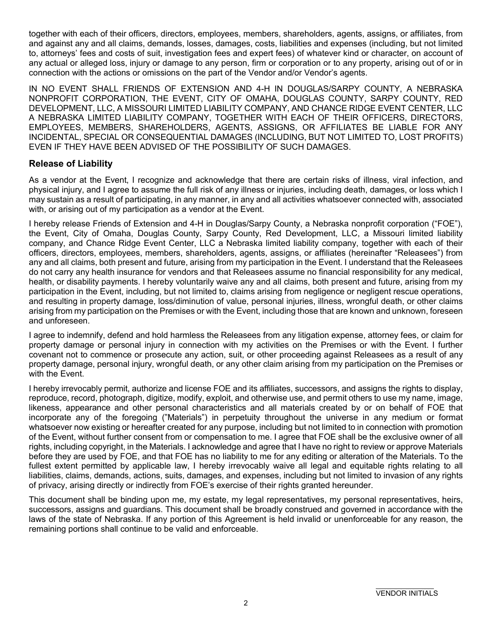together with each of their officers, directors, employees, members, shareholders, agents, assigns, or affiliates, from and against any and all claims, demands, losses, damages, costs, liabilities and expenses (including, but not limited to, attorneys' fees and costs of suit, investigation fees and expert fees) of whatever kind or character, on account of any actual or alleged loss, injury or damage to any person, firm or corporation or to any property, arising out of or in connection with the actions or omissions on the part of the Vendor and/or Vendor's agents.

IN NO EVENT SHALL FRIENDS OF EXTENSION AND 4-H IN DOUGLAS/SARPY COUNTY, A NEBRASKA NONPROFIT CORPORATION, THE EVENT, CITY OF OMAHA, DOUGLAS COUNTY, SARPY COUNTY, RED DEVELOPMENT, LLC, A MISSOURI LIMITED LIABILITY COMPANY, AND CHANCE RIDGE EVENT CENTER, LLC A NEBRASKA LIMITED LIABILITY COMPANY, TOGETHER WITH EACH OF THEIR OFFICERS, DIRECTORS, EMPLOYEES, MEMBERS, SHAREHOLDERS, AGENTS, ASSIGNS, OR AFFILIATES BE LIABLE FOR ANY INCIDENTAL, SPECIAL OR CONSEQUENTIAL DAMAGES (INCLUDING, BUT NOT LIMITED TO, LOST PROFITS) EVEN IF THEY HAVE BEEN ADVISED OF THE POSSIBILITY OF SUCH DAMAGES.

## **Release of Liability**

As a vendor at the Event, I recognize and acknowledge that there are certain risks of illness, viral infection, and physical injury, and I agree to assume the full risk of any illness or injuries, including death, damages, or loss which I may sustain as a result of participating, in any manner, in any and all activities whatsoever connected with, associated with, or arising out of my participation as a vendor at the Event.

I hereby release Friends of Extension and 4-H in Douglas/Sarpy County, a Nebraska nonprofit corporation ("FOE"), the Event, City of Omaha, Douglas County, Sarpy County, Red Development, LLC, a Missouri limited liability company, and Chance Ridge Event Center, LLC a Nebraska limited liability company, together with each of their officers, directors, employees, members, shareholders, agents, assigns, or affiliates (hereinafter "Releasees") from any and all claims, both present and future, arising from my participation in the Event. I understand that the Releasees do not carry any health insurance for vendors and that Releasees assume no financial responsibility for any medical, health, or disability payments. I hereby voluntarily waive any and all claims, both present and future, arising from my participation in the Event, including, but not limited to, claims arising from negligence or negligent rescue operations, and resulting in property damage, loss/diminution of value, personal injuries, illness, wrongful death, or other claims arising from my participation on the Premises or with the Event, including those that are known and unknown, foreseen and unforeseen.

I agree to indemnify, defend and hold harmless the Releasees from any litigation expense, attorney fees, or claim for property damage or personal injury in connection with my activities on the Premises or with the Event. I further covenant not to commence or prosecute any action, suit, or other proceeding against Releasees as a result of any property damage, personal injury, wrongful death, or any other claim arising from my participation on the Premises or with the Event.

I hereby irrevocably permit, authorize and license FOE and its affiliates, successors, and assigns the rights to display, reproduce, record, photograph, digitize, modify, exploit, and otherwise use, and permit others to use my name, image, likeness, appearance and other personal characteristics and all materials created by or on behalf of FOE that incorporate any of the foregoing ("Materials") in perpetuity throughout the universe in any medium or format whatsoever now existing or hereafter created for any purpose, including but not limited to in connection with promotion of the Event, without further consent from or compensation to me. I agree that FOE shall be the exclusive owner of all rights, including copyright, in the Materials. I acknowledge and agree that I have no right to review or approve Materials before they are used by FOE, and that FOE has no liability to me for any editing or alteration of the Materials. To the fullest extent permitted by applicable law, I hereby irrevocably waive all legal and equitable rights relating to all liabilities, claims, demands, actions, suits, damages, and expenses, including but not limited to invasion of any rights of privacy, arising directly or indirectly from FOE's exercise of their rights granted hereunder.

This document shall be binding upon me, my estate, my legal representatives, my personal representatives, heirs, successors, assigns and guardians. This document shall be broadly construed and governed in accordance with the laws of the state of Nebraska. If any portion of this Agreement is held invalid or unenforceable for any reason, the remaining portions shall continue to be valid and enforceable.